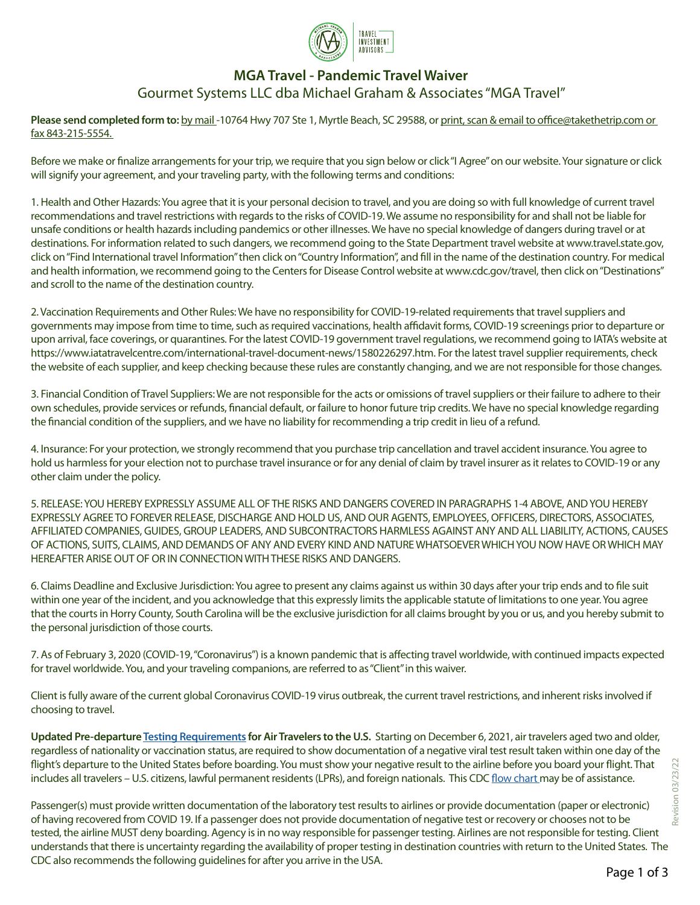

## **MGA Travel - Pandemic Travel Waiver**

## Gourmet Systems LLC dba Michael Graham & Associates "MGA Travel"

Please send completed form to: by mail -10764 Hwy 707 Ste 1, Myrtle Beach, SC 29588, or print, scan & email to office@takethetrip.com or fax 843-215-5554.

Before we make or finalize arrangements for your trip, we require that you sign below or click "I Agree" on our website. Your signature or click will signify your agreement, and your traveling party, with the following terms and conditions:

1. Health and Other Hazards: You agree that it is your personal decision to travel, and you are doing so with full knowledge of current travel recommendations and travel restrictions with regards to the risks of COVID-19. We assume no responsibility for and shall not be liable for unsafe conditions or health hazards including pandemics or other illnesses. We have no special knowledge of dangers during travel or at destinations. For information related to such dangers, we recommend going to the State Department travel website at www.travel.state.gov, click on "Find International travel Information" then click on "Country Information", and fill in the name of the destination country. For medical and health information, we recommend going to the Centers for Disease Control website at www.cdc.gov/travel, then click on "Destinations" and scroll to the name of the destination country.

2. Vaccination Requirements and Other Rules: We have no responsibility for COVID-19-related requirements that travel suppliers and governments may impose from time to time, such as required vaccinations, health affidavit forms, COVID-19 screenings prior to departure or upon arrival, face coverings, or quarantines. For the latest COVID-19 government travel regulations, we recommend going to IATA's website at https://www.iatatravelcentre.com/international-travel-document-news/1580226297.htm. For the latest travel supplier requirements, check the website of each supplier, and keep checking because these rules are constantly changing, and we are not responsible for those changes.

3. Financial Condition of Travel Suppliers: We are not responsible for the acts or omissions of travel suppliers or their failure to adhere to their own schedules, provide services or refunds, financial default, or failure to honor future trip credits. We have no special knowledge regarding the financial condition of the suppliers, and we have no liability for recommending a trip credit in lieu of a refund.

4. Insurance: For your protection, we strongly recommend that you purchase trip cancellation and travel accident insurance. You agree to hold us harmless for your election not to purchase travel insurance or for any denial of claim by travel insurer as it relates to COVID-19 or any other claim under the policy.

5. RELEASE: YOU HEREBY EXPRESSLY ASSUME ALL OF THE RISKS AND DANGERS COVERED IN PARAGRAPHS 1-4 ABOVE, AND YOU HEREBY EXPRESSLY AGREE TO FOREVER RELEASE, DISCHARGE AND HOLD US, AND OUR AGENTS, EMPLOYEES, OFFICERS, DIRECTORS, ASSOCIATES, AFFILIATED COMPANIES, GUIDES, GROUP LEADERS, AND SUBCONTRACTORS HARMLESS AGAINST ANY AND ALL LIABILITY, ACTIONS, CAUSES OF ACTIONS, SUITS, CLAIMS, AND DEMANDS OF ANY AND EVERY KIND AND NATURE WHATSOEVER WHICH YOU NOW HAVE OR WHICH MAY HEREAFTER ARISE OUT OF OR IN CONNECTION WITH THESE RISKS AND DANGERS.

6. Claims Deadline and Exclusive Jurisdiction: You agree to present any claims against us within 30 days after your trip ends and to file suit within one year of the incident, and you acknowledge that this expressly limits the applicable statute of limitations to one year. You agree that the courts in Horry County, South Carolina will be the exclusive jurisdiction for all claims brought by you or us, and you hereby submit to the personal jurisdiction of those courts.

7. As of February 3, 2020 (COVID-19, "Coronavirus") is a known pandemic that is affecting travel worldwide, with continued impacts expected for travel worldwide. You, and your traveling companions, are referred to as "Client" in this waiver.

Client is fully aware of the current global Coronavirus COVID-19 virus outbreak, the current travel restrictions, and inherent risks involved if choosing to travel.

**Updated Pre-departure [Testing Requirements](https://travel.state.gov/content/travel/en/traveladvisories/ea/requirements-for-air-travelers-to-the-us.html#ExternalPopup) for Air Travelers to the U.S.** Starting on December 6, 2021, air travelers aged two and older, regardless of nationality or vaccination status, are required to show documentation of a negative viral test result taken within one day of the flight's departure to the United States before boarding. You must show your negative result to the airline before you board your flight. That includes all travelers – U.S. citizens, lawful permanent residents (LPRs), and foreign nationals. This CDC [flow chart](https://www.cdc.gov/coronavirus/2019-ncov/travelers/pdf/requirements-travel-to-us-by-air-quick-reference-p.pdf) may be of assistance.

Passenger(s) must provide written documentation of the laboratory test results to airlines or provide documentation (paper or electronic) of having recovered from COVID 19. If a passenger does not provide documentation of negative test or recovery or chooses not to be tested, the airline MUST deny boarding. Agency is in no way responsible for passenger testing. Airlines are not responsible for testing. Client understands that there is uncertainty regarding the availability of proper testing in destination countries with return to the United States. The CDC also recommends the following guidelines for after you arrive in the USA.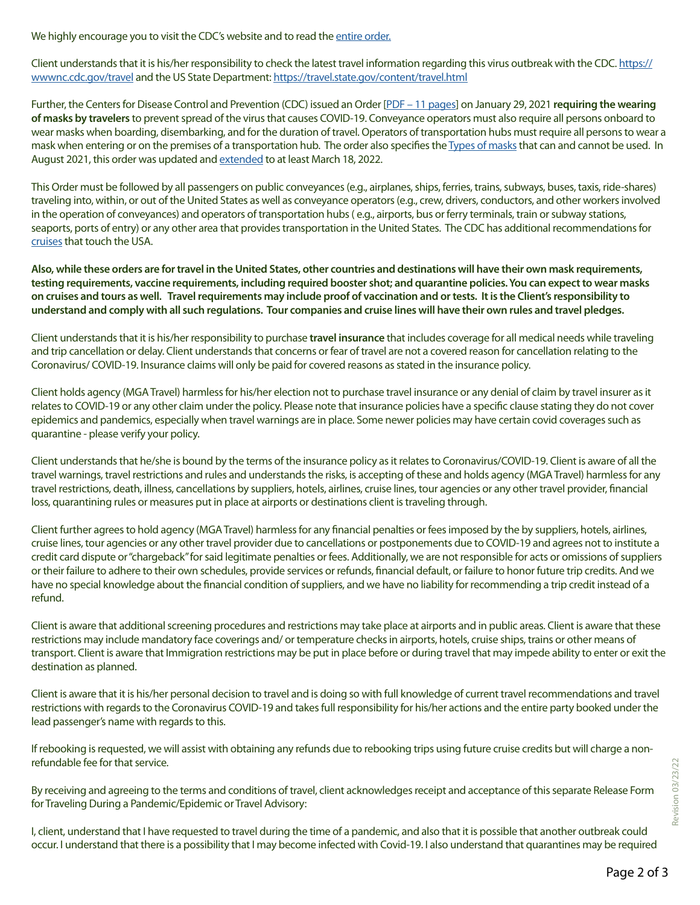We highly encourage you to visit the CDC's website and to read the [entire order.](https://www.cdc.gov/coronavirus/2019-ncov/travelers/testing-international-air-travelers.html#:~:text=On%20January%2012%2C%202021%2C%20CDC%2Cairline%20before%20boarding%20the%20flight.)

Client understands that it is his/her responsibility to check the latest travel information regarding this virus outbreak with the CDC. [https://](https://wwwnc.cdc.gov/travel) [wwwnc.cdc.gov/travel](https://wwwnc.cdc.gov/travel) and the US State Department:<https://travel.state.gov/content/travel.html>

Further, the Centers for Disease Control and Prevention (CDC) issued an Order [\[PDF – 11 pages\]](https://www.cdc.gov/quarantine/pdf/Mask-Order-CDC_GMTF_01-29-21-p.pdf) on January 29, 2021 **requiring the wearing of masks by travelers** to prevent spread of the virus that causes COVID-19. Conveyance operators must also require all persons onboard to wear masks when boarding, disembarking, and for the duration of travel. Operators of transportation hubs must require all persons to wear a mask when entering or on the premises of a transportation hub. The order also specifies the [Types of masks](https://www.cdc.gov/quarantine/masks/mask-travel-guidance.html) that can and cannot be used. In August 2021, this order was updated and [extended](https://www.tsa.gov/news/press/releases/2021/08/20/tsa-extends-face-mask-requirement-through-march-18-2022) to at least March 18, 2022.

This Order must be followed by all passengers on public conveyances (e.g., airplanes, ships, ferries, trains, subways, buses, taxis, ride-shares) traveling into, within, or out of the United States as well as conveyance operators (e.g., crew, drivers, conductors, and other workers involved in the operation of conveyances) and operators of transportation hubs ( e.g., airports, bus or ferry terminals, train or subway stations, seaports, ports of entry) or any other area that provides transportation in the United States. The CDC has additional recommendations for [cruises](https://wwwnc.cdc.gov/travel/notices/covid-4/coronavirus-cruise-ship) that touch the USA.

**Also, while these orders are for travel in the United States, other countries and destinations will have their own mask requirements, testing requirements, vaccine requirements, including required booster shot; and quarantine policies. You can expect to wear masks on cruises and tours as well. Travel requirements may include proof of vaccination and or tests. It is the Client's responsibility to understand and comply with all such regulations. Tour companies and cruise lines will have their own rules and travel pledges.**

Client understands that it is his/her responsibility to purchase **travel insurance** that includes coverage for all medical needs while traveling and trip cancellation or delay. Client understands that concerns or fear of travel are not a covered reason for cancellation relating to the Coronavirus/ COVID-19. Insurance claims will only be paid for covered reasons as stated in the insurance policy.

Client holds agency (MGA Travel) harmless for his/her election not to purchase travel insurance or any denial of claim by travel insurer as it relates to COVID-19 or any other claim under the policy. Please note that insurance policies have a specific clause stating they do not cover epidemics and pandemics, especially when travel warnings are in place. Some newer policies may have certain covid coverages such as quarantine - please verify your policy.

Client understands that he/she is bound by the terms of the insurance policy as it relates to Coronavirus/COVID-19. Client is aware of all the travel warnings, travel restrictions and rules and understands the risks, is accepting of these and holds agency (MGA Travel) harmless for any travel restrictions, death, illness, cancellations by suppliers, hotels, airlines, cruise lines, tour agencies or any other travel provider, financial loss, quarantining rules or measures put in place at airports or destinations client is traveling through.

Client further agrees to hold agency (MGA Travel) harmless for any financial penalties or fees imposed by the by suppliers, hotels, airlines, cruise lines, tour agencies or any other travel provider due to cancellations or postponements due to COVID-19 and agrees not to institute a credit card dispute or "chargeback" for said legitimate penalties or fees. Additionally, we are not responsible for acts or omissions of suppliers or their failure to adhere to their own schedules, provide services or refunds, financial default, or failure to honor future trip credits. And we have no special knowledge about the financial condition of suppliers, and we have no liability for recommending a trip credit instead of a refund.

Client is aware that additional screening procedures and restrictions may take place at airports and in public areas. Client is aware that these restrictions may include mandatory face coverings and/ or temperature checks in airports, hotels, cruise ships, trains or other means of transport. Client is aware that Immigration restrictions may be put in place before or during travel that may impede ability to enter or exit the destination as planned.

Client is aware that it is his/her personal decision to travel and is doing so with full knowledge of current travel recommendations and travel restrictions with regards to the Coronavirus COVID-19 and takes full responsibility for his/her actions and the entire party booked under the lead passenger's name with regards to this.

If rebooking is requested, we will assist with obtaining any refunds due to rebooking trips using future cruise credits but will charge a nonrefundable fee for that service.

By receiving and agreeing to the terms and conditions of travel, client acknowledges receipt and acceptance of this separate Release Form for Traveling During a Pandemic/Epidemic or Travel Advisory:

I, client, understand that I have requested to travel during the time of a pandemic, and also that it is possible that another outbreak could occur. I understand that there is a possibility that I may become infected with Covid-19. I also understand that quarantines may be required